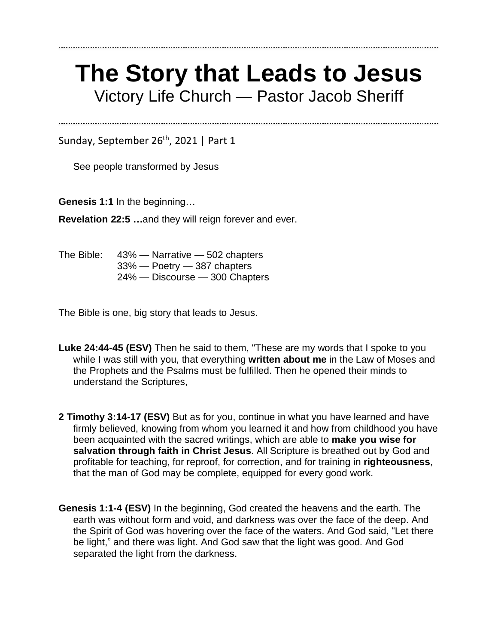## **The Story that Leads to Jesus** Victory Life Church — Pastor Jacob Sheriff

Sunday, September 26<sup>th</sup>, 2021 | Part 1

See people transformed by Jesus

**Genesis 1:1** In the beginning…

**Revelation 22:5 …**and they will reign forever and ever.

The Bible: 43% — Narrative — 502 chapters 33% — Poetry — 387 chapters 24% — Discourse — 300 Chapters

The Bible is one, big story that leads to Jesus.

- **Luke 24:44-45 (ESV)** Then he said to them, "These are my words that I spoke to you while I was still with you, that everything **written about me** in the Law of Moses and the Prophets and the Psalms must be fulfilled. Then he opened their minds to understand the Scriptures,
- **2 Timothy 3:14-17 (ESV)** But as for you, continue in what you have learned and have firmly believed, knowing from whom you learned it and how from childhood you have been acquainted with the sacred writings, which are able to **make you wise for salvation through faith in Christ Jesus**. All Scripture is breathed out by God and profitable for teaching, for reproof, for correction, and for training in **righteousness**, that the man of God may be complete, equipped for every good work.
- **Genesis 1:1-4 (ESV)** In the beginning, God created the heavens and the earth. The earth was without form and void, and darkness was over the face of the deep. And the Spirit of God was hovering over the face of the waters. And God said, "Let there be light," and there was light. And God saw that the light was good. And God separated the light from the darkness.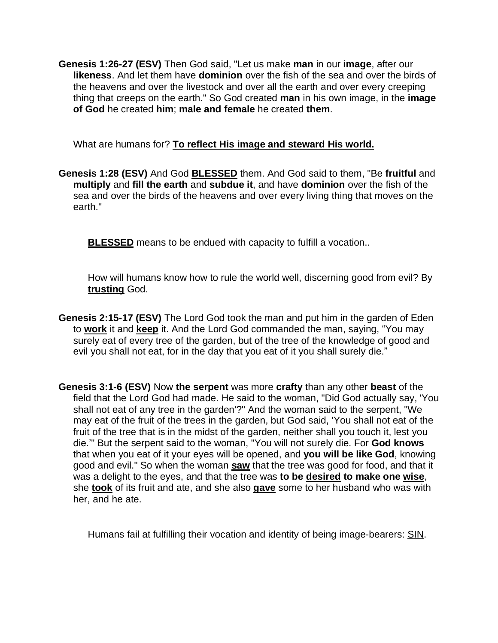**Genesis 1:26-27 (ESV)** Then God said, "Let us make **man** in our **image**, after our **likeness**. And let them have **dominion** over the fish of the sea and over the birds of the heavens and over the livestock and over all the earth and over every creeping thing that creeps on the earth." So God created **man** in his own image, in the **image of God** he created **him**; **male and female** he created **them**.

What are humans for? **To reflect His image and steward His world.**

**Genesis 1:28 (ESV)** And God **BLESSED** them. And God said to them, "Be **fruitful** and **multiply** and **fill the earth** and **subdue it**, and have **dominion** over the fish of the sea and over the birds of the heavens and over every living thing that moves on the earth."

**BLESSED** means to be endued with capacity to fulfill a vocation..

How will humans know how to rule the world well, discerning good from evil? By **trusting** God.

- **Genesis 2:15-17 (ESV)** The Lord God took the man and put him in the garden of Eden to **work** it and **keep** it. And the Lord God commanded the man, saying, "You may surely eat of every tree of the garden, but of the tree of the knowledge of good and evil you shall not eat, for in the day that you eat of it you shall surely die."
- **Genesis 3:1-6 (ESV)** Now **the serpent** was more **crafty** than any other **beast** of the field that the Lord God had made. He said to the woman, "Did God actually say, 'You shall not eat of any tree in the garden'?" And the woman said to the serpent, "We may eat of the fruit of the trees in the garden, but God said, 'You shall not eat of the fruit of the tree that is in the midst of the garden, neither shall you touch it, lest you die.'" But the serpent said to the woman, "You will not surely die. For **God knows** that when you eat of it your eyes will be opened, and **you will be like God**, knowing good and evil." So when the woman **saw** that the tree was good for food, and that it was a delight to the eyes, and that the tree was **to be desired to make one wise**, she **took** of its fruit and ate, and she also **gave** some to her husband who was with her, and he ate.

Humans fail at fulfilling their vocation and identity of being image-bearers: SIN.